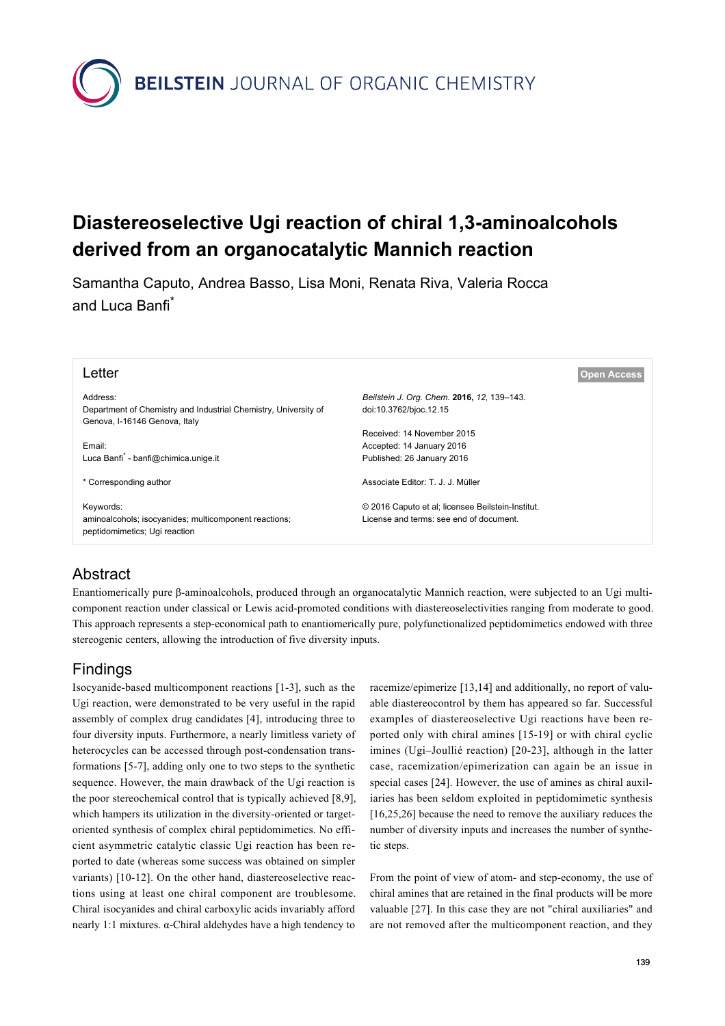**BEILSTEIN** JOURNAL OF ORGANIC CHEMISTRY

# **Diastereoselective Ugi reaction of chiral 1,3-aminoalcohols derived from an organocatalytic Mannich reaction**

Samantha Caputo, Andrea Basso, Lisa Moni, Renata Riva, Valeria Rocca and Luca Banfi\*

| Letter                                                                                 | <b>Open Access</b>                                |
|----------------------------------------------------------------------------------------|---------------------------------------------------|
| Address:                                                                               | Beilstein J. Org. Chem. 2016, 12, 139-143.        |
| Department of Chemistry and Industrial Chemistry, University of                        | doi:10.3762/bjoc.12.15                            |
| Genova, I-16146 Genova, Italy                                                          |                                                   |
|                                                                                        | Received: 14 November 2015                        |
| Email:                                                                                 | Accepted: 14 January 2016                         |
| Luca Banfi <sup>*</sup> - banfi@chimica.unige.it                                       | Published: 26 January 2016                        |
| * Corresponding author                                                                 | Associate Editor: T. J. J. Müller                 |
| Keywords:                                                                              | © 2016 Caputo et al; licensee Beilstein-Institut. |
| aminoalcohols; isocyanides; multicomponent reactions;<br>peptidomimetics; Ugi reaction | License and terms: see end of document.           |
|                                                                                        |                                                   |

### Abstract

Enantiomerically pure β-aminoalcohols, produced through an organocatalytic Mannich reaction, were subjected to an Ugi multicomponent reaction under classical or Lewis acid-promoted conditions with diastereoselectivities ranging from moderate to good. This approach represents a step-economical path to enantiomerically pure, polyfunctionalized peptidomimetics endowed with three stereogenic centers, allowing the introduction of five diversity inputs.

### Findings

Isocyanide-based multicomponent reactions [\[1-3\],](#page-3-0) such as the Ugi reaction, were demonstrated to be very useful in the rapid assembly of complex drug candidates [\[4\],](#page-4-0) introducing three to four diversity inputs. Furthermore, a nearly limitless variety of heterocycles can be accessed through post-condensation transformations [\[5-7\]](#page-4-1), adding only one to two steps to the synthetic sequence. However, the main drawback of the Ugi reaction is the poor stereochemical control that is typically achieved [\[8,9\]](#page-4-2), which hampers its utilization in the diversity-oriented or targetoriented synthesis of complex chiral peptidomimetics. No efficient asymmetric catalytic classic Ugi reaction has been reported to date (whereas some success was obtained on simpler variants) [\[10-12\]](#page-4-3). On the other hand, diastereoselective reactions using at least one chiral component are troublesome. Chiral isocyanides and chiral carboxylic acids invariably afford nearly 1:1 mixtures. α-Chiral aldehydes have a high tendency to

racemize/epimerize [\[13,14\]](#page-4-4) and additionally, no report of valuable diastereocontrol by them has appeared so far. Successful examples of diastereoselective Ugi reactions have been reported only with chiral amines [\[15-19\]](#page-4-5) or with chiral cyclic imines (Ugi–Joullié reaction) [\[20-23\]](#page-4-6), although in the latter case, racemization/epimerization can again be an issue in special cases [\[24\]](#page-4-7). However, the use of amines as chiral auxiliaries has been seldom exploited in peptidomimetic synthesis [\[16,25,26\]](#page-4-8) because the need to remove the auxiliary reduces the number of diversity inputs and increases the number of synthetic steps.

From the point of view of atom- and step-economy, the use of chiral amines that are retained in the final products will be more valuable [\[27\].](#page-4-9) In this case they are not "chiral auxiliaries" and are not removed after the multicomponent reaction, and they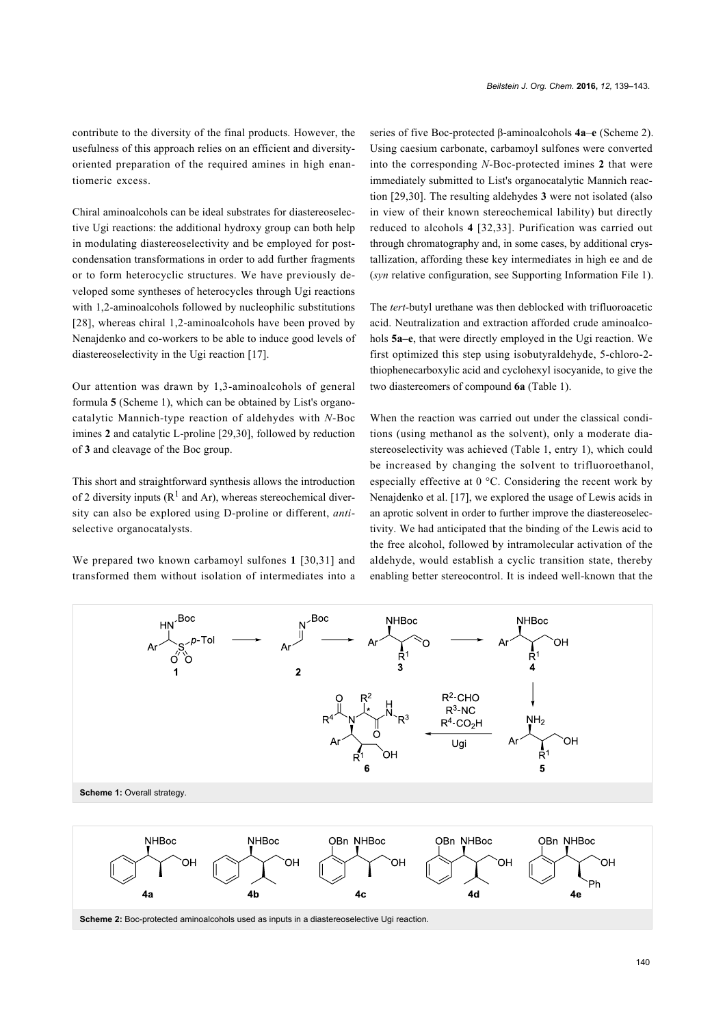contribute to the diversity of the final products. However, the usefulness of this approach relies on an efficient and diversityoriented preparation of the required amines in high enantiomeric excess.

Chiral aminoalcohols can be ideal substrates for diastereoselective Ugi reactions: the additional hydroxy group can both help in modulating diastereoselectivity and be employed for postcondensation transformations in order to add further fragments or to form heterocyclic structures. We have previously developed some syntheses of heterocycles through Ugi reactions with 1,2-aminoalcohols followed by nucleophilic substitutions [\[28\]](#page-4-10), whereas chiral 1,2-aminoalcohols have been proved by Nenajdenko and co-workers to be able to induce good levels of diastereoselectivity in the Ugi reaction [\[17\].](#page-4-11)

Our attention was drawn by 1,3-aminoalcohols of general formula **5** ([Scheme 1\)](#page-1-0), which can be obtained by List's organocatalytic Mannich-type reaction of aldehydes with *N*-Boc imines **2** and catalytic L-proline [\[29,30\],](#page-4-12) followed by reduction of **3** and cleavage of the Boc group.

This short and straightforward synthesis allows the introduction of 2 diversity inputs ( $\mathbb{R}^1$  and Ar), whereas stereochemical diversity can also be explored using D-proline or different, *anti*selective organocatalysts.

<span id="page-1-0"></span>We prepared two known carbamoyl sulfones **1** [\[30,31\]](#page-4-13) and transformed them without isolation of intermediates into a series of five Boc-protected β-aminoalcohols **4a**–**e** [\(Scheme 2](#page-1-1)). Using caesium carbonate, carbamoyl sulfones were converted into the corresponding *N*-Boc-protected imines **2** that were immediately submitted to List's organocatalytic Mannich reaction [\[29,30\]](#page-4-12). The resulting aldehydes **3** were not isolated (also in view of their known stereochemical lability) but directly reduced to alcohols **4** [\[32,33\]](#page-4-14). Purification was carried out through chromatography and, in some cases, by additional crystallization, affording these key intermediates in high ee and de (*syn* relative configuration, see [Supporting Information File 1](#page-3-1)).

The *tert*-butyl urethane was then deblocked with trifluoroacetic acid. Neutralization and extraction afforded crude aminoalcohols **5a–e**, that were directly employed in the Ugi reaction. We first optimized this step using isobutyraldehyde, 5-chloro-2 thiophenecarboxylic acid and cyclohexyl isocyanide, to give the two diastereomers of compound **6a** [\(Table 1\)](#page-2-0).

When the reaction was carried out under the classical conditions (using methanol as the solvent), only a moderate diastereoselectivity was achieved [\(Table 1](#page-2-0), entry 1), which could be increased by changing the solvent to trifluoroethanol, especially effective at 0 °C. Considering the recent work by Nenajdenko et al. [\[17\],](#page-4-11) we explored the usage of Lewis acids in an aprotic solvent in order to further improve the diastereoselectivity. We had anticipated that the binding of the Lewis acid to the free alcohol, followed by intramolecular activation of the aldehyde, would establish a cyclic transition state, thereby enabling better stereocontrol. It is indeed well-known that the



<span id="page-1-1"></span>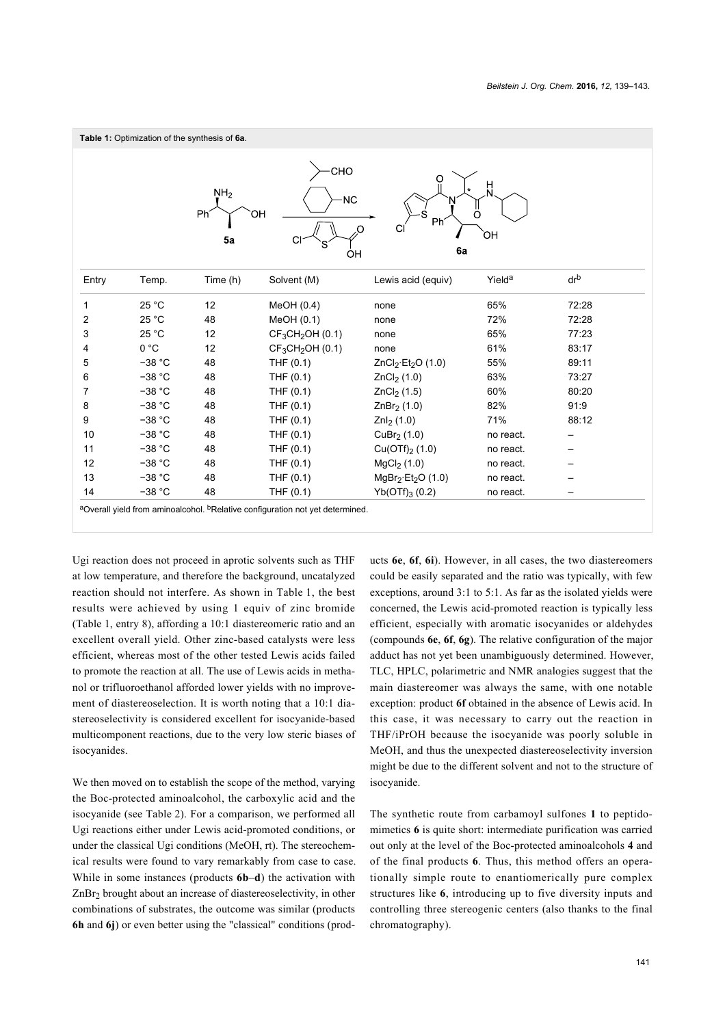<span id="page-2-0"></span>

|                                                                                          | Table 1: Optimization of the synthesis of 6a. |          |                                          |                                              |                    |                 |  |
|------------------------------------------------------------------------------------------|-----------------------------------------------|----------|------------------------------------------|----------------------------------------------|--------------------|-----------------|--|
| CHO<br>O<br>NH <sub>2</sub><br><b>NC</b><br>Phi<br>ΟН<br>Ω<br>Ph<br>ЮĤ<br>5a<br>6a<br>OH |                                               |          |                                          |                                              |                    |                 |  |
| Entry                                                                                    | Temp.                                         | Time (h) | Solvent (M)                              | Lewis acid (equiv)                           | Yield <sup>a</sup> | dr <sup>b</sup> |  |
| 1                                                                                        | 25 °C                                         | 12       | MeOH(0.4)                                | none                                         | 65%                | 72:28           |  |
| 2                                                                                        | 25 °C                                         | 48       | MeOH(0.1)                                | none                                         | 72%                | 72:28           |  |
| 3                                                                                        | 25 °C                                         | 12       | CF <sub>3</sub> CH <sub>2</sub> OH (0.1) | none                                         | 65%                | 77:23           |  |
| 4                                                                                        | 0 °C                                          | 12       | CF <sub>3</sub> CH <sub>2</sub> OH (0.1) | none                                         | 61%                | 83:17           |  |
| 5                                                                                        | $-38 °C$                                      | 48       | THF $(0.1)$                              | ZnCl <sub>2</sub> ·Et <sub>2</sub> O $(1.0)$ | 55%                | 89:11           |  |
| 6                                                                                        | $-38 °C$                                      | 48       | THF (0.1)                                | ZnCl <sub>2</sub> (1.0)                      | 63%                | 73:27           |  |
| 7                                                                                        | $-38 °C$                                      | 48       | THF (0.1)                                | ZnCl <sub>2</sub> (1.5)                      | 60%                | 80:20           |  |
| 8                                                                                        | $-38 °C$                                      | 48       | THF (0.1)                                | ZnBr <sub>2</sub> (1.0)                      | 82%                | 91:9            |  |
| 9                                                                                        | $-38 °C$                                      | 48       | THF (0.1)                                | $Znl2$ (1.0)                                 | 71%                | 88:12           |  |
| 10                                                                                       | $-38 °C$                                      | 48       | THF $(0.1)$                              | CuBr <sub>2</sub> $(1.0)$                    | no react.          |                 |  |
| 11                                                                                       | $-38 °C$                                      | 48       | THF (0.1)                                | $Cu(OTf)_{2}$ (1.0)                          | no react.          |                 |  |
|                                                                                          | $-38 °C$                                      | 48       | THF (0.1)                                | MgCl <sub>2</sub> (1.0)                      | no react.          |                 |  |
|                                                                                          |                                               |          |                                          |                                              |                    |                 |  |
| 12<br>13                                                                                 | $-38 °C$                                      | 48       | THF (0.1)                                | $MqBr2·Et2O (1.0)$                           | no react.          |                 |  |

Ugi reaction does not proceed in aprotic solvents such as THF at low temperature, and therefore the background, uncatalyzed reaction should not interfere. As shown in [Table 1,](#page-2-0) the best results were achieved by using 1 equiv of zinc bromide ([Table 1](#page-2-0), entry 8), affording a 10:1 diastereomeric ratio and an excellent overall yield. Other zinc-based catalysts were less efficient, whereas most of the other tested Lewis acids failed to promote the reaction at all. The use of Lewis acids in methanol or trifluoroethanol afforded lower yields with no improvement of diastereoselection. It is worth noting that a 10:1 diastereoselectivity is considered excellent for isocyanide-based multicomponent reactions, due to the very low steric biases of isocyanides.

We then moved on to establish the scope of the method, varying the Boc-protected aminoalcohol, the carboxylic acid and the isocyanide (see [Table 2\)](#page-3-2). For a comparison, we performed all Ugi reactions either under Lewis acid-promoted conditions, or under the classical Ugi conditions (MeOH, rt). The stereochemical results were found to vary remarkably from case to case. While in some instances (products **6b**–**d**) the activation with ZnBr<sup>2</sup> brought about an increase of diastereoselectivity, in other combinations of substrates, the outcome was similar (products **6h** and **6j**) or even better using the "classical" conditions (products **6e**, **6f**, **6i**). However, in all cases, the two diastereomers could be easily separated and the ratio was typically, with few exceptions, around 3:1 to 5:1. As far as the isolated yields were concerned, the Lewis acid-promoted reaction is typically less efficient, especially with aromatic isocyanides or aldehydes (compounds **6e**, **6f**, **6g**). The relative configuration of the major adduct has not yet been unambiguously determined. However, TLC, HPLC, polarimetric and NMR analogies suggest that the main diastereomer was always the same, with one notable exception: product **6f** obtained in the absence of Lewis acid. In this case, it was necessary to carry out the reaction in THF/iPrOH because the isocyanide was poorly soluble in MeOH, and thus the unexpected diastereoselectivity inversion might be due to the different solvent and not to the structure of isocyanide.

The synthetic route from carbamoyl sulfones **1** to peptidomimetics **6** is quite short: intermediate purification was carried out only at the level of the Boc-protected aminoalcohols **4** and of the final products **6**. Thus, this method offers an operationally simple route to enantiomerically pure complex structures like **6**, introducing up to five diversity inputs and controlling three stereogenic centers (also thanks to the final chromatography).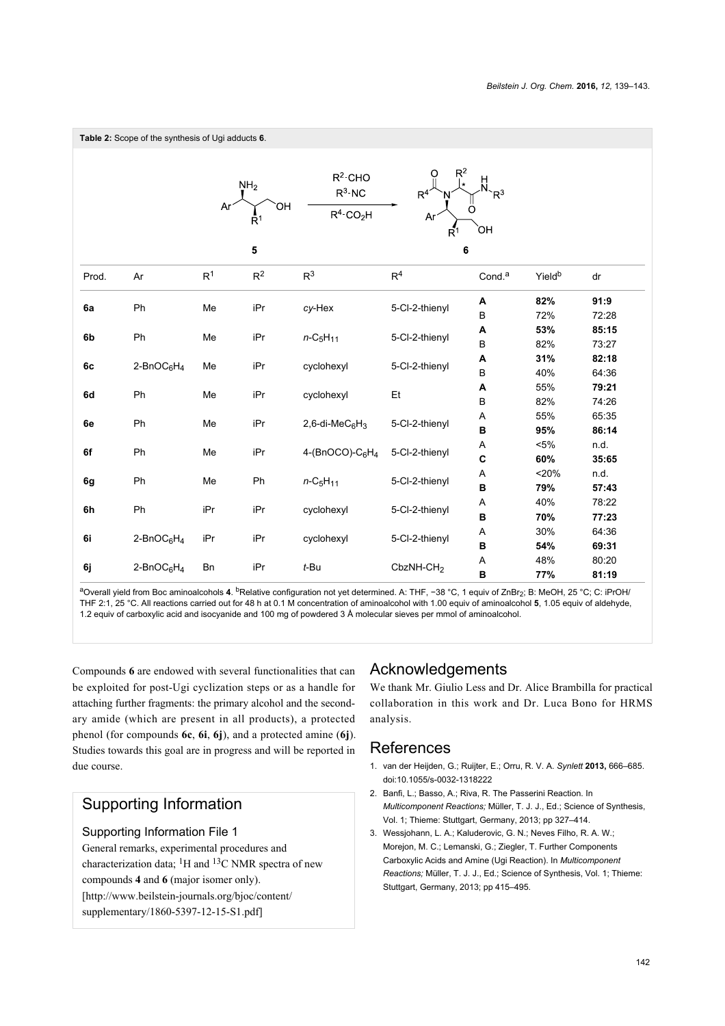<span id="page-3-2"></span>

<sup>a</sup>Overall yield from Boc aminoalcohols **4**. <sup>b</sup>Relative configuration not yet determined. A: THF, −38 °C, 1 equiv of ZnBr<sub>2</sub>; B: MeOH, 25 °C; C: iPrOH/ THF 2:1, 25 °C. All reactions carried out for 48 h at 0.1 M concentration of aminoalcohol with 1.00 equiv of aminoalcohol **5**, 1.05 equiv of aldehyde, 1.2 equiv of carboxylic acid and isocyanide and 100 mg of powdered 3 Å molecular sieves per mmol of aminoalcohol.

Compounds **6** are endowed with several functionalities that can be exploited for post-Ugi cyclization steps or as a handle for attaching further fragments: the primary alcohol and the secondary amide (which are present in all products), a protected phenol (for compounds **6c**, **6i**, **6j**), and a protected amine (**6j**). Studies towards this goal are in progress and will be reported in due course.

## Supporting Information

#### <span id="page-3-1"></span>Supporting Information File 1

General remarks, experimental procedures and characterization data;  ${}^{1}H$  and  ${}^{13}C$  NMR spectra of new compounds **4** and **6** (major isomer only). [\[http://www.beilstein-journals.org/bjoc/content/](http://www.beilstein-journals.org/bjoc/content/supplementary/1860-5397-12-15-S1.pdf) [supplementary/1860-5397-12-15-S1.pdf\]](http://www.beilstein-journals.org/bjoc/content/supplementary/1860-5397-12-15-S1.pdf)

### Acknowledgements

We thank Mr. Giulio Less and Dr. Alice Brambilla for practical collaboration in this work and Dr. Luca Bono for HRMS analysis.

### References

- <span id="page-3-0"></span>1. van der Heijden, G.; Ruijter, E.; Orru, R. V. A. *Synlett* **2013,** 666–685. [doi:10.1055/s-0032-1318222](http://dx.doi.org/10.1055%2Fs-0032-1318222)
- 2. Banfi, L.; Basso, A.; Riva, R. The Passerini Reaction. In *Multicomponent Reactions;* Müller, T. J. J., Ed.; Science of Synthesis, Vol. 1; Thieme: Stuttgart, Germany, 2013; pp 327–414.
- 3. Wessjohann, L. A.; Kaluderovic, G. N.; Neves Filho, R. A. W.; Morejon, M. C.; Lemanski, G.; Ziegler, T. Further Components Carboxylic Acids and Amine (Ugi Reaction). In *Multicomponent Reactions;* Müller, T. J. J., Ed.; Science of Synthesis, Vol. 1; Thieme: Stuttgart, Germany, 2013; pp 415–495.